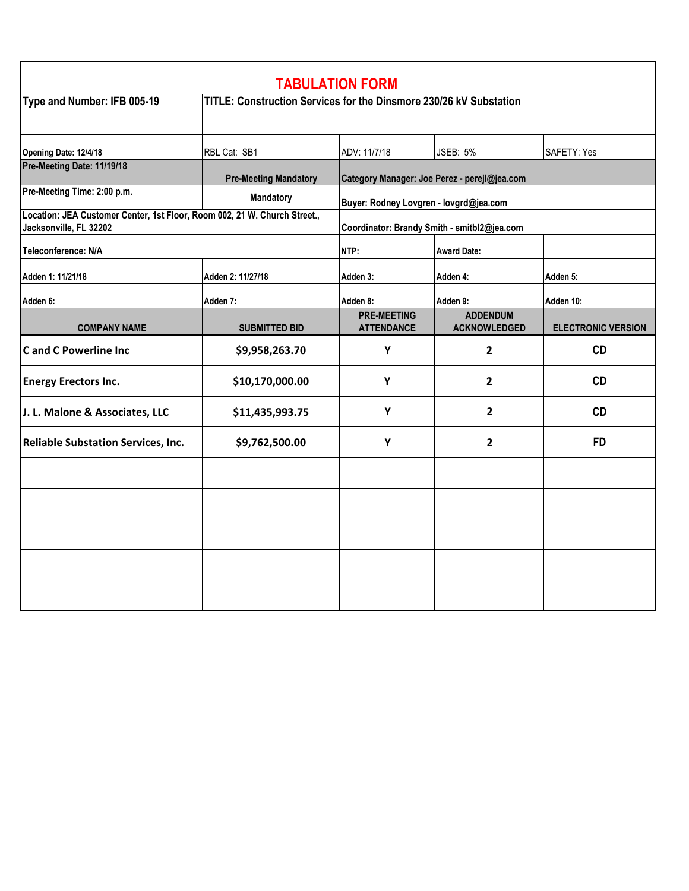| <b>TABULATION FORM</b>                                                                              |                                                                    |                                              |                                        |                           |  |  |  |
|-----------------------------------------------------------------------------------------------------|--------------------------------------------------------------------|----------------------------------------------|----------------------------------------|---------------------------|--|--|--|
| Type and Number: IFB 005-19                                                                         | TITLE: Construction Services for the Dinsmore 230/26 kV Substation |                                              |                                        |                           |  |  |  |
| Opening Date: 12/4/18                                                                               | RBL Cat: SB1                                                       | ADV: 11/7/18                                 | <b>JSEB: 5%</b>                        | SAFETY: Yes               |  |  |  |
| Pre-Meeting Date: 11/19/18                                                                          | <b>Pre-Meeting Mandatory</b>                                       | Category Manager: Joe Perez - perejl@jea.com |                                        |                           |  |  |  |
| Pre-Meeting Time: 2:00 p.m.                                                                         | Mandatory                                                          | Buyer: Rodney Lovgren - lovgrd@jea.com       |                                        |                           |  |  |  |
| Location: JEA Customer Center, 1st Floor, Room 002, 21 W. Church Street.,<br>Jacksonville, FL 32202 |                                                                    | Coordinator: Brandy Smith - smitbl2@jea.com  |                                        |                           |  |  |  |
| Teleconference: N/A                                                                                 |                                                                    | NTP:                                         | <b>Award Date:</b>                     |                           |  |  |  |
| Adden 1: 11/21/18                                                                                   | Adden 2: 11/27/18                                                  | Adden 3:                                     | Adden 4:                               | Adden 5:                  |  |  |  |
| Adden 6:                                                                                            | Adden 7:                                                           | Adden 8:                                     | Adden 9:                               | Adden 10:                 |  |  |  |
| <b>COMPANY NAME</b>                                                                                 | <b>SUBMITTED BID</b>                                               | <b>PRE-MEETING</b><br><b>ATTENDANCE</b>      | <b>ADDENDUM</b><br><b>ACKNOWLEDGED</b> | <b>ELECTRONIC VERSION</b> |  |  |  |
| <b>Cand C Powerline Inc</b>                                                                         | \$9,958,263.70                                                     | Y                                            | $\mathbf{2}$                           | <b>CD</b>                 |  |  |  |
| <b>Energy Erectors Inc.</b>                                                                         | \$10,170,000.00                                                    | Y                                            | $\overline{2}$                         | <b>CD</b>                 |  |  |  |
| J. L. Malone & Associates, LLC                                                                      | \$11,435,993.75                                                    | Υ                                            | $\mathbf{2}$                           | CD                        |  |  |  |
| <b>Reliable Substation Services, Inc.</b>                                                           | \$9,762,500.00                                                     | Y                                            | $\overline{2}$                         | <b>FD</b>                 |  |  |  |
|                                                                                                     |                                                                    |                                              |                                        |                           |  |  |  |
|                                                                                                     |                                                                    |                                              |                                        |                           |  |  |  |
|                                                                                                     |                                                                    |                                              |                                        |                           |  |  |  |
|                                                                                                     |                                                                    |                                              |                                        |                           |  |  |  |
|                                                                                                     |                                                                    |                                              |                                        |                           |  |  |  |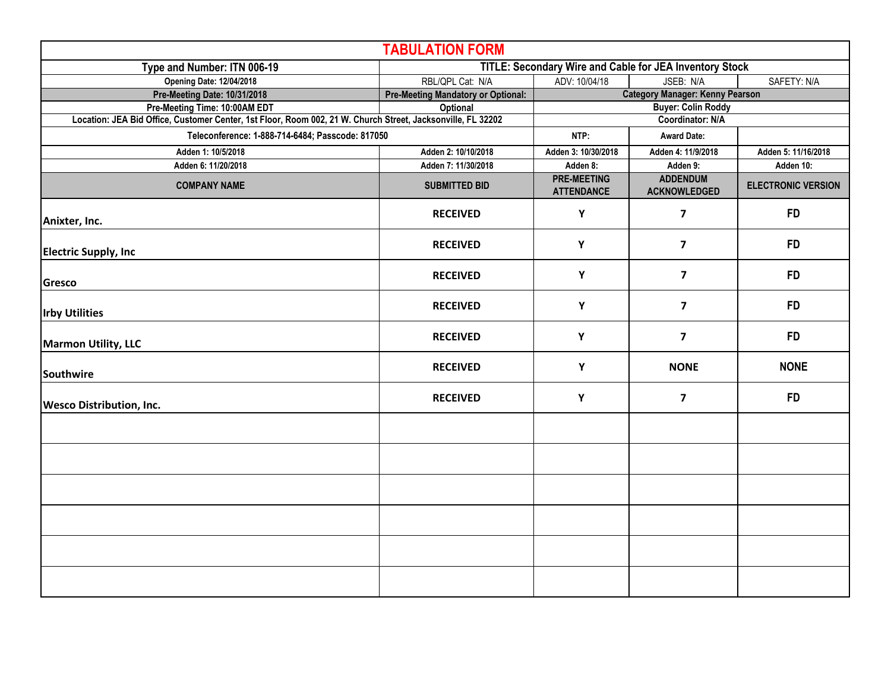| <b>TABULATION FORM</b>                                                                                      |                                                         |                                         |                                        |                           |  |  |  |
|-------------------------------------------------------------------------------------------------------------|---------------------------------------------------------|-----------------------------------------|----------------------------------------|---------------------------|--|--|--|
| Type and Number: ITN 006-19                                                                                 | TITLE: Secondary Wire and Cable for JEA Inventory Stock |                                         |                                        |                           |  |  |  |
| <b>Opening Date: 12/04/2018</b>                                                                             | RBL/QPL Cat: N/A                                        | ADV: 10/04/18<br>JSEB: N/A              |                                        | SAFETY: N/A               |  |  |  |
| Pre-Meeting Date: 10/31/2018                                                                                | <b>Pre-Meeting Mandatory or Optional:</b>               |                                         | <b>Category Manager: Kenny Pearson</b> |                           |  |  |  |
| Pre-Meeting Time: 10:00AM EDT                                                                               | Optional                                                |                                         | <b>Buyer: Colin Roddy</b>              |                           |  |  |  |
| Location: JEA Bid Office, Customer Center, 1st Floor, Room 002, 21 W. Church Street, Jacksonville, FL 32202 |                                                         | <b>Coordinator: N/A</b>                 |                                        |                           |  |  |  |
| Teleconference: 1-888-714-6484; Passcode: 817050                                                            | NTP:                                                    | <b>Award Date:</b>                      |                                        |                           |  |  |  |
| Adden 1: 10/5/2018                                                                                          | Adden 2: 10/10/2018                                     | Adden 3: 10/30/2018                     | Adden 4: 11/9/2018                     | Adden 5: 11/16/2018       |  |  |  |
| Adden 6: 11/20/2018                                                                                         | Adden 7: 11/30/2018                                     | Adden 8:                                | Adden 9:                               | Adden 10:                 |  |  |  |
| <b>COMPANY NAME</b>                                                                                         | <b>SUBMITTED BID</b>                                    | <b>PRE-MEETING</b><br><b>ATTENDANCE</b> | <b>ADDENDUM</b><br><b>ACKNOWLEDGED</b> | <b>ELECTRONIC VERSION</b> |  |  |  |
| Anixter, Inc.                                                                                               | <b>RECEIVED</b>                                         | Υ                                       | $\overline{\mathbf{z}}$                | <b>FD</b>                 |  |  |  |
| <b>Electric Supply, Inc</b>                                                                                 | <b>RECEIVED</b>                                         | Y                                       | $\overline{\mathbf{z}}$                | <b>FD</b>                 |  |  |  |
| Gresco                                                                                                      | <b>RECEIVED</b>                                         | Y                                       | $\overline{\mathbf{z}}$                | <b>FD</b>                 |  |  |  |
| <b>Irby Utilities</b>                                                                                       | <b>RECEIVED</b>                                         | Υ                                       | $\overline{\mathbf{z}}$                | <b>FD</b>                 |  |  |  |
| <b>Marmon Utility, LLC</b>                                                                                  | <b>RECEIVED</b>                                         | Y                                       | $\overline{\mathbf{z}}$                | <b>FD</b>                 |  |  |  |
| Southwire                                                                                                   | <b>RECEIVED</b>                                         | Y                                       | <b>NONE</b>                            | <b>NONE</b>               |  |  |  |
| <b>Wesco Distribution, Inc.</b>                                                                             | <b>RECEIVED</b>                                         | Y                                       | $\overline{\mathbf{z}}$                | <b>FD</b>                 |  |  |  |
|                                                                                                             |                                                         |                                         |                                        |                           |  |  |  |
|                                                                                                             |                                                         |                                         |                                        |                           |  |  |  |
|                                                                                                             |                                                         |                                         |                                        |                           |  |  |  |
|                                                                                                             |                                                         |                                         |                                        |                           |  |  |  |
|                                                                                                             |                                                         |                                         |                                        |                           |  |  |  |
|                                                                                                             |                                                         |                                         |                                        |                           |  |  |  |